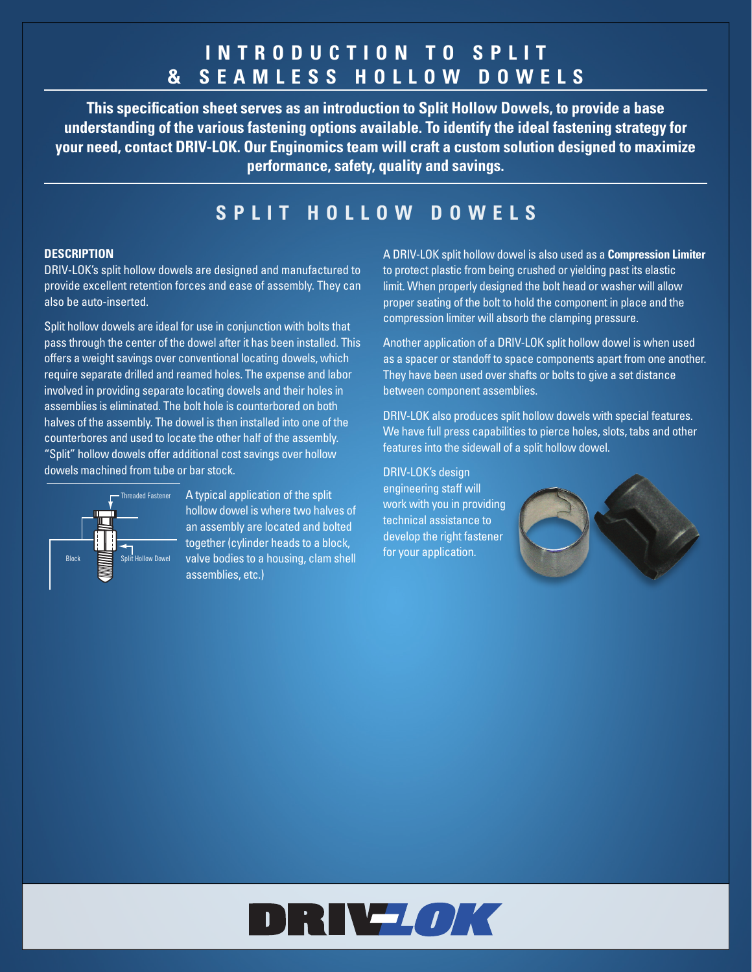## **I N T R O D U C T I O N T O S P L I T & SEAMLESS HOLLOW DOWELS**

**This specification sheet serves as an introduction to Split Hollow Dowels, to provide a base understanding of the various fastening options available. To identify the ideal fastening strategy for your need, contact DRIV-LOK. Our Enginomics team will craft a custom solution designed to maximize performance, safety, quality and savings.**

## **SPLIT HOLLOW DOWELS**

### **DESCRIPTION**

DRIV-LOK's split hollow dowels are designed and manufactured to provide excellent retention forces and ease of assembly. They can also be auto-inserted.

Split hollow dowels are ideal for use in conjunction with bolts that pass through the center of the dowel after it has been installed. This offers a weight savings over conventional locating dowels, which require separate drilled and reamed holes. The expense and labor involved in providing separate locating dowels and their holes in assemblies is eliminated. The bolt hole is counterbored on both halves of the assembly. The dowel is then installed into one of the counterbores and used to locate the other half of the assembly. "Split" hollow dowels offer additional cost savings over hollow dowels machined from tube or bar stock.



Threaded Fastener A typical application of the split hollow dowel is where two halves of an assembly are located and bolted together (cylinder heads to a block, Figure to the server of the server of the state of the state of the split for your application. assemblies, etc.)

A DRIV-LOK split hollow dowel is also used as a **Compression Limiter** to protect plastic from being crushed or yielding past its elastic limit. When properly designed the bolt head or washer will allow proper seating of the bolt to hold the component in place and the compression limiter will absorb the clamping pressure.

Another application of a DRIV-LOK split hollow dowel is when used as a spacer or standoff to space components apart from one another. They have been used over shafts or bolts to give a set distance between component assemblies.

DRIV-LOK also produces split hollow dowels with special features. We have full press capabilities to pierce holes, slots, tabs and other features into the sidewall of a split hollow dowel.

DRIV-LOK's design engineering staff will work with you in providing technical assistance to develop the right fastener